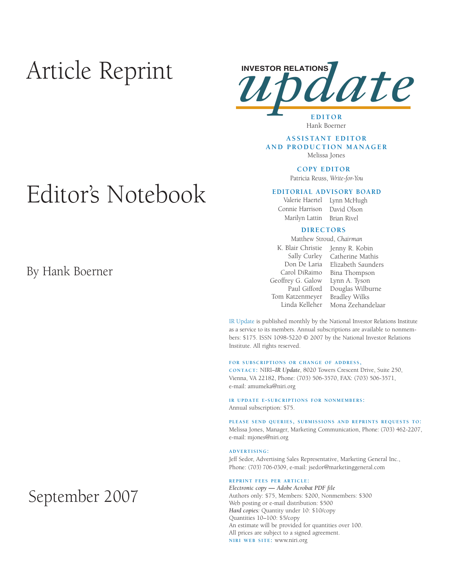# Article Reprint



# Hank Boerner

### **ASSISTANT EDITOR AND PRODUCTION MANAGER** Melissa Jones

**COPY EDITOR** 

Patricia Reuss, *Write-for-You*

### **EDITORIAL ADVISORY BOARD**

Connie Harrison David Olson

Valerie Haertel Lynn McHugh Marilyn Lattin Brian Rivel

## **DIRECTORS**

Matthew Stroud, *Chairman*

- Geoffrey G. Galow Lynn A. Tyson Tom Katzenmeyer Bradley Wilks
- K. Blair Christie Jenny R. Kobin Sally Curley Catherine Mathis Don De Laria Elizabeth Saunders Carol DiRaimo Bina Thompson Paul Gifford Douglas Wilburne Linda Kelleher Mona Zeehandelaar

IR Update is published monthly by the National Investor Relations Institute as a service to its members. Annual subscriptions are available to nonmembers: \$175. ISSN 1098-5220 © 2007 by the National Investor Relations Institute. All rights reserved.

#### **FOR SUBSCRIPTIONS OR CHANGE OF ADDRESS,**

**CONTACT:** NIRI–*IR Update*, 8020 Towers Crescent Drive, Suite 250, Vienna, VA 22182, Phone: (703) 506-3570, FAX: (703) 506-3571, e-mail: amumeka@niri.org

#### **IR UPDATE E-SUBCRIPTIONS FOR NONMEMBERS:**  Annual subscription: \$75.

**PLEASE SEND QUERIES, SUBMISSIONS AND REPRINTS REQUESTS TO:** Melissa Jones, Manager, Marketing Communication, Phone: (703) 462-2207, e-mail: mjones@niri.org

#### **ADVERTISING:**

Jeff Sedor, Advertising Sales Representative, Marketing General Inc., Phone: (703) 706-0309, e-mail: jsedor@marketinggeneral.com

#### **REPRINT FEES PER ARTICLE:**

*Electronic copy* **—** *Adobe Acrobat PDF file*  Authors only: \$75, Members: \$200, Nonmembers: \$300 Web posting or e-mail distribution: \$500 *Hard copies:* Quantity under 10: \$10/copy Quantities 10–100: \$5/copy An estimate will be provided for quantities over 100. All prices are subject to a signed agreement. **NIRI WEB SITE:** www.niri.org

# Editor's Notebook

By Hank Boerner

# September 2007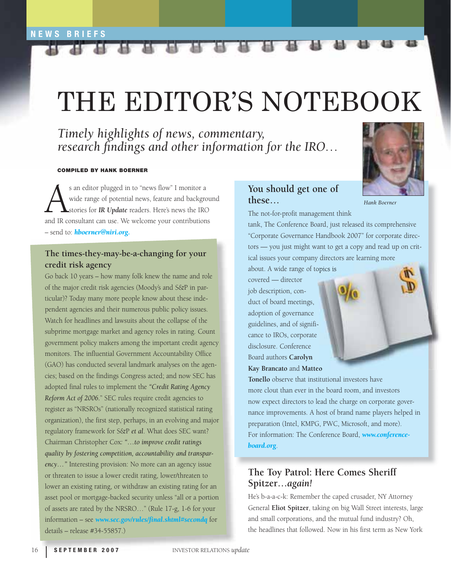# THE EDITOR'S NOTEBOOK

*Timely highlights of news, commentary, research findings and other information for the IRO...* 

Alt Alt

# **COMPILED BY HANK BOERNER**

s an editor plugged in to "news flow" I monitor a<br>wide range of potential news, feature and backgro<br>stories for **IR Update** readers. Here's news the IRC<br>and IR consultant can use. We welcome your contribution wide range of potential news, feature and background stories for *IR Update* readers. Here's news the IRO and IR consultant can use. We welcome your contributions – send to: *[hboerner@niri.org.](mailto:hboerner@niri.org)* 

# **The times-they-may-be-a-changing for your credit risk agency**

Go back 10 years – how many folk knew the name and role of the major credit risk agencies (Moody's and S&P in particular)? Today many more people know about these independent agencies and their numerous public policy issues. Watch for headlines and lawsuits about the collapse of the subprime mortgage market and agency roles in rating. Count government policy makers among the important credit agency monitors. The influential Government Accountability Office (GAO) has conducted several landmark analyses on the agencies; based on the findings Congress acted; and now SEC has adopted final rules to implement the *"Credit Rating Agency Reform Act of 2006.*" SEC rules require credit agencies to register as "NRSROs" (nationally recognized statistical rating organization), the first step, perhaps, in an evolving and major regulatory framework for S&P *et al*. What does SEC want? Chairman Christopher Cox*: "…to improve credit ratings quality by fostering competition, accountability and transparency…"* Interesting provision: No more can an agency issue or threaten to issue a lower credit rating, lower/threaten to lower an existing rating, or withdraw an existing rating for an asset pool or mortgage-backed security unless "all or a portion of assets are rated by the NRSRO…" (Rule 17-g, 1-6 for your information – see *[www.sec.gov/rules/final.shtml#secondq](http://www.sec.gov/rules/final.shtml#secondq)* for details – release #34-55857.)

# **You should get one of these…**



The not-for-profit management think

12 17

tank, The Conference Board, just released its comprehensive "Corporate Governance Handbook 2007" for corporate directors — you just might want to get a copy and read up on critical issues your company directors are learning more

about. A wide range of topics is covered — director job description, con-

duct of board meetings, adoption of governance guidelines, and of significance to IROs, corporate disclosure. Conference Board authors **Carolyn Kay Brancato** and **Matteo** 



# **The Toy Patrol: Here Comes Sheriff Spitzer…***again!*

He's b-a-a-c-k: Remember the caped crusader, NY Attorney General **Eliot Spitzer**, taking on big Wall Street interests, large and small corporations, and the mutual fund industry? Oh, the headlines that followed. Now in his first term as New York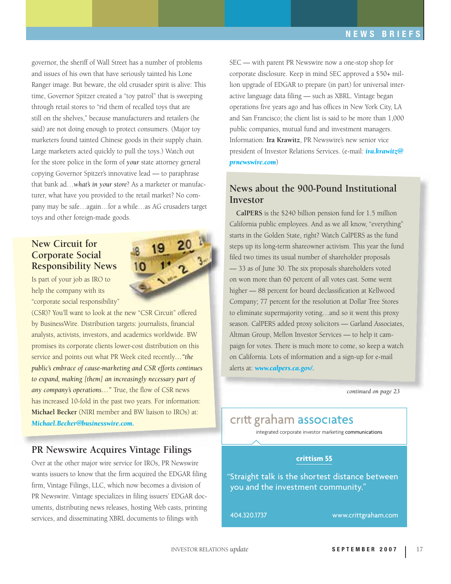governor, the sheriff of Wall Street has a number of problems and issues of his own that have seriously tainted his Lone Ranger image. But beware, the old crusader spirit is alive: This time, Governor Spitzer created a "toy patrol" that is sweeping through retail stores to "rid them of recalled toys that are still on the shelves," because manufacturers and retailers (he said) are not doing enough to protect consumers. (Major toy marketers found tainted Chinese goods in their supply chain. Large marketers acted quickly to pull the toys.) Watch out for the store police in the form of *your* state attorney general copying Governor Spitzer's innovative lead — to paraphrase that bank ad…*what's in your store*? As a marketer or manufacturer, what have you provided to the retail market? No company may be safe…again…for a while…as AG crusaders target toys and other foreign-made goods.

# **New Circuit for Corporate Social Responsibility News**

Is part of your job as IRO to help the company with its "corporate social responsibility"

(CSR)? You'll want to look at the new "CSR Circuit" offered by BusinessWire. Distribution targets: journalists, financial analysts, activists, investors, and academics worldwide. BW promises its corporate clients lower-cost distribution on this service and points out what PR Week cited recently*…"the public's embrace of cause-marketing and CSR efforts continues to expand, making [them] an increasingly necessary part of any company's operations…"* True, the flow of CSR news has increased 10-fold in the past two years. For information: **Michael Becker** (NIRI member and BW liaison to IROs) at: *[Michael.Becker@businesswire.com.](mailto:Michael.Becker@businesswire.com)* 

# **PR Newswire Acquires Vintage Filings**

Over at the other major wire service for IROs, PR Newswire wants issuers to know that the firm acquired the EDGAR filing firm, Vintage Filings, LLC, which now becomes a division of PR Newswire. Vintage specializes in filing issuers' EDGAR documents, distributing news releases, hosting Web casts, printing services, and disseminating XBRL documents to filings with

SEC — with parent PR Newswire now a one-stop shop for corporate disclosure. Keep in mind SEC approved a \$50+ million upgrade of EDGAR to prepare (in part) for universal interactive language data filing — such as XBRL. Vintage began operations five years ago and has offices in New York City, LA and San Francisco; the client list is said to be more than 1,000 public companies, mutual fund and investment managers. Information: **Ira Krawitz**, PR Newswire's new senior vice president of Investor Relations Services. (e-mail: *[ira.krawitz@](mailto:ira.krawitz@prnewswire.com) [prnewswire.com](mailto:ira.krawitz@prnewswire.com)*)

# **News about the 900-Pound Institutional Investor**

**CalPERS** is the \$240 billion pension fund for 1.5 million California public employees. And as we all know, "everything" starts in the Golden State, right? Watch CalPERS as the fund steps up its long-term shareowner activism. This year the fund filed two times its usual number of shareholder proposals — 33 as of June 30. The six proposals shareholders voted on won more than 60 percent of all votes cast. Some went higher — 88 percent for board declassification at Kellwood Company; 77 percent for the resolution at Dollar Tree Stores to eliminate supermajority voting…and so it went this proxy season. CalPERS added proxy solicitors — Garland Associates, Altman Group, Mellon Investor Services — to help it campaign for votes. There is much more to come, so keep a watch on California. Lots of information and a sign-up for e-mail alerts at: *[www.calpers.ca.gov/.](http://www.calpers.ca.gov)*

*continued on page 23*

# critt graham associates

integrated corporate investor marketing communications

# **zrittism 55**

"Straight talk is the shortest distance between you and the investment community."

+404.320.1737 www.crittgraham.com